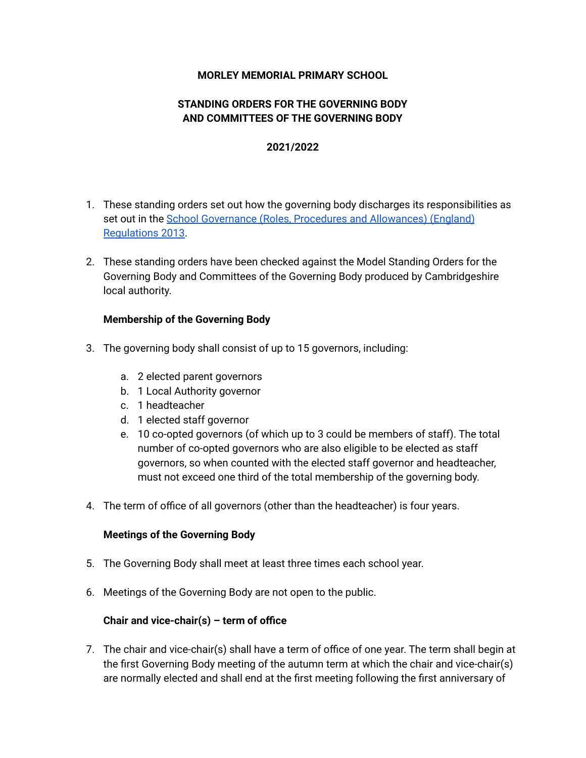## **MORLEY MEMORIAL PRIMARY SCHOOL**

# **STANDING ORDERS FOR THE GOVERNING BODY AND COMMITTEES OF THE GOVERNING BODY**

### **2021/2022**

- 1. These standing orders set out how the governing body discharges its responsibilities as set out in the School Governance (Roles, Procedures and [Allowances\)](http://www.legislation.gov.uk/uksi/2013/1624/made) (England) [Regulations](http://www.legislation.gov.uk/uksi/2013/1624/made) 2013.
- 2. These standing orders have been checked against the Model Standing Orders for the Governing Body and Committees of the Governing Body produced by Cambridgeshire local authority.

### **Membership of the Governing Body**

- 3. The governing body shall consist of up to 15 governors, including:
	- a. 2 elected parent governors
	- b. 1 Local Authority governor
	- c. 1 headteacher
	- d. 1 elected staff governor
	- e. 10 co-opted governors (of which up to 3 could be members of staff). The total number of co-opted governors who are also eligible to be elected as staff governors, so when counted with the elected staff governor and headteacher, must not exceed one third of the total membership of the governing body.
- 4. The term of office of all governors (other than the headteacher) is four years.

### **Meetings of the Governing Body**

- 5. The Governing Body shall meet at least three times each school year.
- 6. Meetings of the Governing Body are not open to the public.

### **Chair and vice-chair(s) – term of office**

7. The chair and vice-chair(s) shall have a term of office of one year. The term shall begin at the first Governing Body meeting of the autumn term at which the chair and vice-chair(s) are normally elected and shall end at the first meeting following the first anniversary of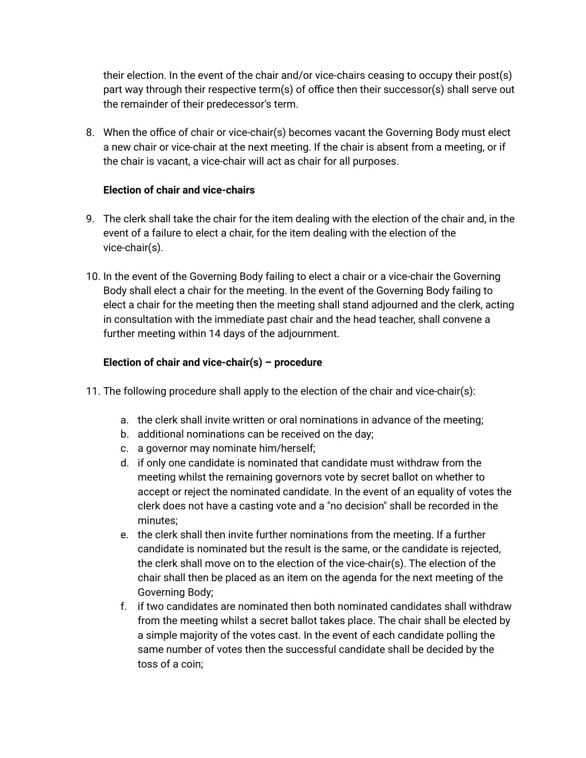their election. In the event of the chair and/or vice-chairs ceasing to occupy their post(s) part way through their respective term(s) of office then their successor(s) shall serve out the remainder of their predecessor's term.

8. When the office of chair or vice-chair(s) becomes vacant the Governing Body must elect a new chair or vice-chair at the next meeting. If the chair is absent from a meeting, or if the chair is vacant, a vice-chair will act as chair for all purposes.

# **Election of chair and vice-chairs**

- 9. The clerk shall take the chair for the item dealing with the election of the chair and, in the event of a failure to elect a chair, for the item dealing with the election of the vice-chair(s).
- 10. In the event of the Governing Body failing to elect a chair or a vice-chair the Governing Body shall elect a chair for the meeting. In the event of the Governing Body failing to elect a chair for the meeting then the meeting shall stand adjourned and the clerk, acting in consultation with the immediate past chair and the head teacher, shall convene a further meeting within 14 days of the adjournment.

# **Election of chair and vice-chair(s) – procedure**

- 11. The following procedure shall apply to the election of the chair and vice-chair(s):
	- a. the clerk shall invite written or oral nominations in advance of the meeting;
	- b. additional nominations can be received on the day;
	- c. a governor may nominate him/herself;
	- d. if only one candidate is nominated that candidate must withdraw from the meeting whilst the remaining governors vote by secret ballot on whether to accept or reject the nominated candidate. In the event of an equality of votes the clerk does not have a casting vote and a "no decision" shall be recorded in the minutes;
	- e. the clerk shall then invite further nominations from the meeting. If a further candidate is nominated but the result is the same, or the candidate is rejected, the clerk shall move on to the election of the vice-chair(s). The election of the chair shall then be placed as an item on the agenda for the next meeting of the Governing Body;
	- f. if two candidates are nominated then both nominated candidates shall withdraw from the meeting whilst a secret ballot takes place. The chair shall be elected by a simple majority of the votes cast. In the event of each candidate polling the same number of votes then the successful candidate shall be decided by the toss of a coin;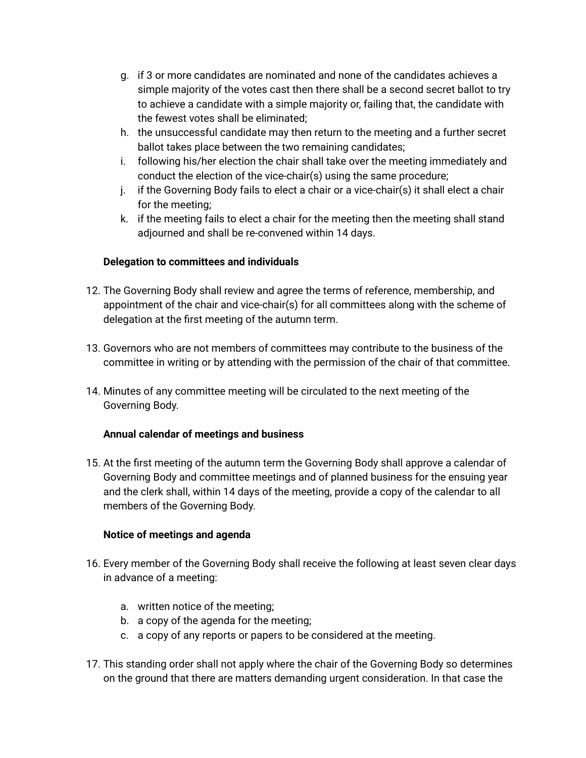- g. if 3 or more candidates are nominated and none of the candidates achieves a simple majority of the votes cast then there shall be a second secret ballot to try to achieve a candidate with a simple majority or, failing that, the candidate with the fewest votes shall be eliminated;
- h. the unsuccessful candidate may then return to the meeting and a further secret ballot takes place between the two remaining candidates;
- i. following his/her election the chair shall take over the meeting immediately and conduct the election of the vice-chair(s) using the same procedure;
- $i.$  if the Governing Body fails to elect a chair or a vice-chair(s) it shall elect a chair for the meeting;
- k. if the meeting fails to elect a chair for the meeting then the meeting shall stand adjourned and shall be re-convened within 14 days.

# **Delegation to committees and individuals**

- 12. The Governing Body shall review and agree the terms of reference, membership, and appointment of the chair and vice-chair(s) for all committees along with the scheme of delegation at the first meeting of the autumn term.
- 13. Governors who are not members of committees may contribute to the business of the committee in writing or by attending with the permission of the chair of that committee.
- 14. Minutes of any committee meeting will be circulated to the next meeting of the Governing Body.

# **Annual calendar of meetings and business**

15. At the first meeting of the autumn term the Governing Body shall approve a calendar of Governing Body and committee meetings and of planned business for the ensuing year and the clerk shall, within 14 days of the meeting, provide a copy of the calendar to all members of the Governing Body.

# **Notice of meetings and agenda**

- 16. Every member of the Governing Body shall receive the following at least seven clear days in advance of a meeting:
	- a. written notice of the meeting;
	- b. a copy of the agenda for the meeting;
	- c. a copy of any reports or papers to be considered at the meeting.
- 17. This standing order shall not apply where the chair of the Governing Body so determines on the ground that there are matters demanding urgent consideration. In that case the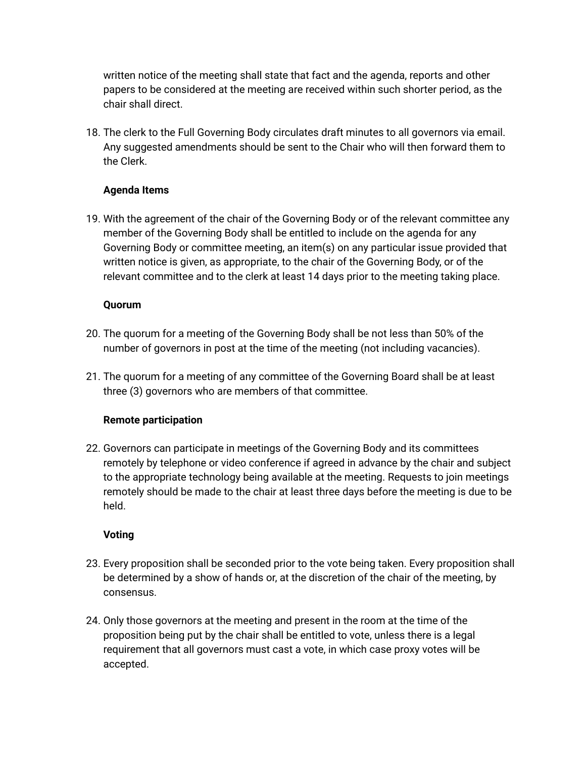written notice of the meeting shall state that fact and the agenda, reports and other papers to be considered at the meeting are received within such shorter period, as the chair shall direct.

18. The clerk to the Full Governing Body circulates draft minutes to all governors via email. Any suggested amendments should be sent to the Chair who will then forward them to the Clerk.

# **Agenda Items**

19. With the agreement of the chair of the Governing Body or of the relevant committee any member of the Governing Body shall be entitled to include on the agenda for any Governing Body or committee meeting, an item(s) on any particular issue provided that written notice is given, as appropriate, to the chair of the Governing Body, or of the relevant committee and to the clerk at least 14 days prior to the meeting taking place.

# **Quorum**

- 20. The quorum for a meeting of the Governing Body shall be not less than 50% of the number of governors in post at the time of the meeting (not including vacancies).
- 21. The quorum for a meeting of any committee of the Governing Board shall be at least three (3) governors who are members of that committee.

# **Remote participation**

22. Governors can participate in meetings of the Governing Body and its committees remotely by telephone or video conference if agreed in advance by the chair and subject to the appropriate technology being available at the meeting. Requests to join meetings remotely should be made to the chair at least three days before the meeting is due to be held.

# **Voting**

- 23. Every proposition shall be seconded prior to the vote being taken. Every proposition shall be determined by a show of hands or, at the discretion of the chair of the meeting, by consensus.
- 24. Only those governors at the meeting and present in the room at the time of the proposition being put by the chair shall be entitled to vote, unless there is a legal requirement that all governors must cast a vote, in which case proxy votes will be accepted.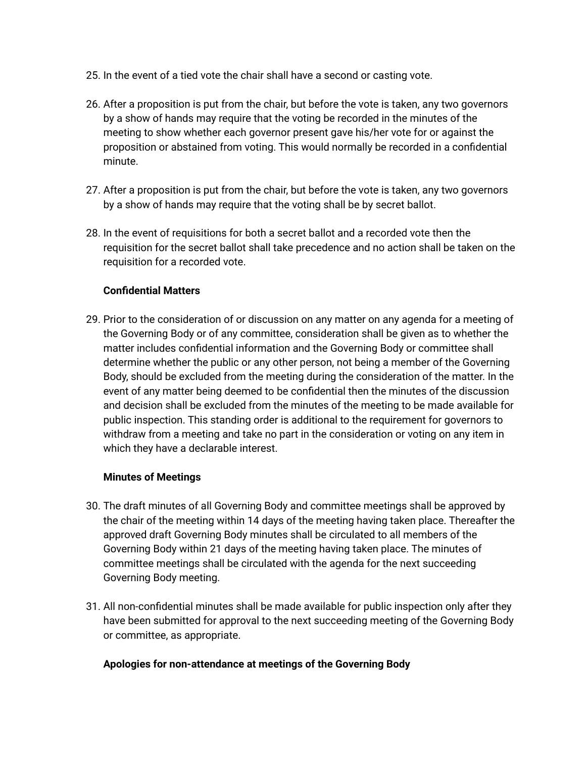- 25. In the event of a tied vote the chair shall have a second or casting vote.
- 26. After a proposition is put from the chair, but before the vote is taken, any two governors by a show of hands may require that the voting be recorded in the minutes of the meeting to show whether each governor present gave his/her vote for or against the proposition or abstained from voting. This would normally be recorded in a confidential minute.
- 27. After a proposition is put from the chair, but before the vote is taken, any two governors by a show of hands may require that the voting shall be by secret ballot.
- 28. In the event of requisitions for both a secret ballot and a recorded vote then the requisition for the secret ballot shall take precedence and no action shall be taken on the requisition for a recorded vote.

# **Confidential Matters**

29. Prior to the consideration of or discussion on any matter on any agenda for a meeting of the Governing Body or of any committee, consideration shall be given as to whether the matter includes confidential information and the Governing Body or committee shall determine whether the public or any other person, not being a member of the Governing Body, should be excluded from the meeting during the consideration of the matter. In the event of any matter being deemed to be confidential then the minutes of the discussion and decision shall be excluded from the minutes of the meeting to be made available for public inspection. This standing order is additional to the requirement for governors to withdraw from a meeting and take no part in the consideration or voting on any item in which they have a declarable interest.

# **Minutes of Meetings**

- 30. The draft minutes of all Governing Body and committee meetings shall be approved by the chair of the meeting within 14 days of the meeting having taken place. Thereafter the approved draft Governing Body minutes shall be circulated to all members of the Governing Body within 21 days of the meeting having taken place. The minutes of committee meetings shall be circulated with the agenda for the next succeeding Governing Body meeting.
- 31. All non-confidential minutes shall be made available for public inspection only after they have been submitted for approval to the next succeeding meeting of the Governing Body or committee, as appropriate.

### **Apologies for non-attendance at meetings of the Governing Body**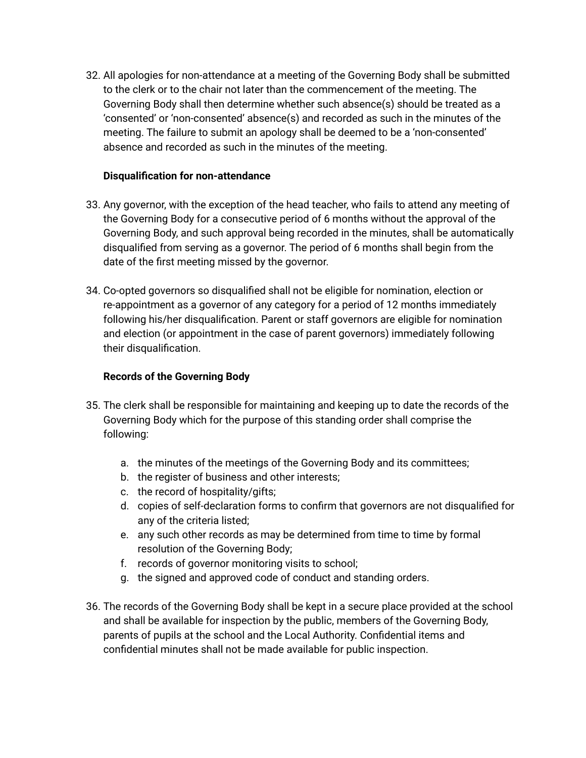32. All apologies for non-attendance at a meeting of the Governing Body shall be submitted to the clerk or to the chair not later than the commencement of the meeting. The Governing Body shall then determine whether such absence(s) should be treated as a 'consented' or 'non-consented' absence(s) and recorded as such in the minutes of the meeting. The failure to submit an apology shall be deemed to be a 'non-consented' absence and recorded as such in the minutes of the meeting.

## **Disqualification for non-attendance**

- 33. Any governor, with the exception of the head teacher, who fails to attend any meeting of the Governing Body for a consecutive period of 6 months without the approval of the Governing Body, and such approval being recorded in the minutes, shall be automatically disqualified from serving as a governor. The period of 6 months shall begin from the date of the first meeting missed by the governor.
- 34. Co-opted governors so disqualified shall not be eligible for nomination, election or re-appointment as a governor of any category for a period of 12 months immediately following his/her disqualification. Parent or staff governors are eligible for nomination and election (or appointment in the case of parent governors) immediately following their disqualification.

### **Records of the Governing Body**

- 35. The clerk shall be responsible for maintaining and keeping up to date the records of the Governing Body which for the purpose of this standing order shall comprise the following:
	- a. the minutes of the meetings of the Governing Body and its committees;
	- b. the register of business and other interests;
	- c. the record of hospitality/gifts;
	- d. copies of self-declaration forms to confirm that governors are not disqualified for any of the criteria listed;
	- e. any such other records as may be determined from time to time by formal resolution of the Governing Body;
	- f. records of governor monitoring visits to school;
	- g. the signed and approved code of conduct and standing orders.
- 36. The records of the Governing Body shall be kept in a secure place provided at the school and shall be available for inspection by the public, members of the Governing Body, parents of pupils at the school and the Local Authority. Confidential items and confidential minutes shall not be made available for public inspection.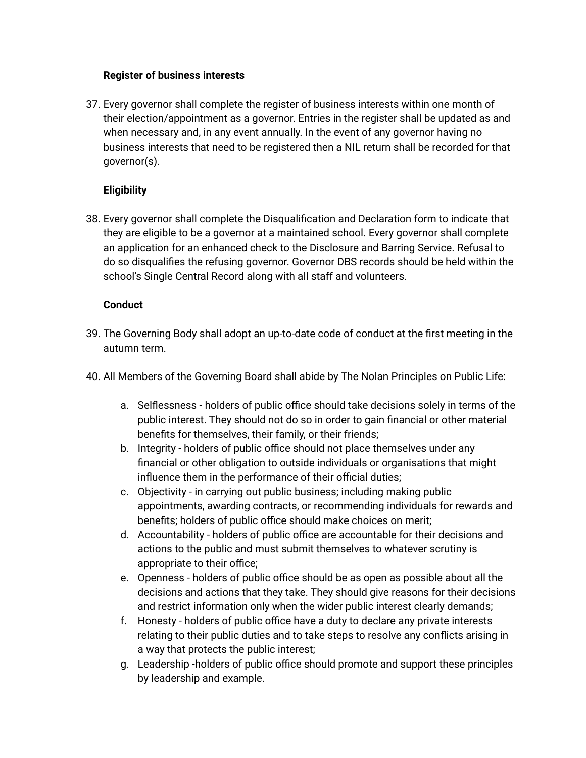### **Register of business interests**

37. Every governor shall complete the register of business interests within one month of their election/appointment as a governor. Entries in the register shall be updated as and when necessary and, in any event annually. In the event of any governor having no business interests that need to be registered then a NIL return shall be recorded for that governor(s).

# **Eligibility**

38. Every governor shall complete the Disqualification and Declaration form to indicate that they are eligible to be a governor at a maintained school. Every governor shall complete an application for an enhanced check to the Disclosure and Barring Service. Refusal to do so disqualifies the refusing governor. Governor DBS records should be held within the school's Single Central Record along with all staff and volunteers.

# **Conduct**

- 39. The Governing Body shall adopt an up-to-date code of conduct at the first meeting in the autumn term.
- 40. All Members of the Governing Board shall abide by The Nolan Principles on Public Life:
	- a. Selflessness holders of public office should take decisions solely in terms of the public interest. They should not do so in order to gain financial or other material benefits for themselves, their family, or their friends;
	- b. Integrity holders of public office should not place themselves under any financial or other obligation to outside individuals or organisations that might influence them in the performance of their official duties;
	- c. Objectivity in carrying out public business; including making public appointments, awarding contracts, or recommending individuals for rewards and benefits; holders of public office should make choices on merit;
	- d. Accountability holders of public office are accountable for their decisions and actions to the public and must submit themselves to whatever scrutiny is appropriate to their office;
	- e. Openness holders of public office should be as open as possible about all the decisions and actions that they take. They should give reasons for their decisions and restrict information only when the wider public interest clearly demands;
	- f. Honesty holders of public office have a duty to declare any private interests relating to their public duties and to take steps to resolve any conflicts arising in a way that protects the public interest;
	- g. Leadership -holders of public office should promote and support these principles by leadership and example.